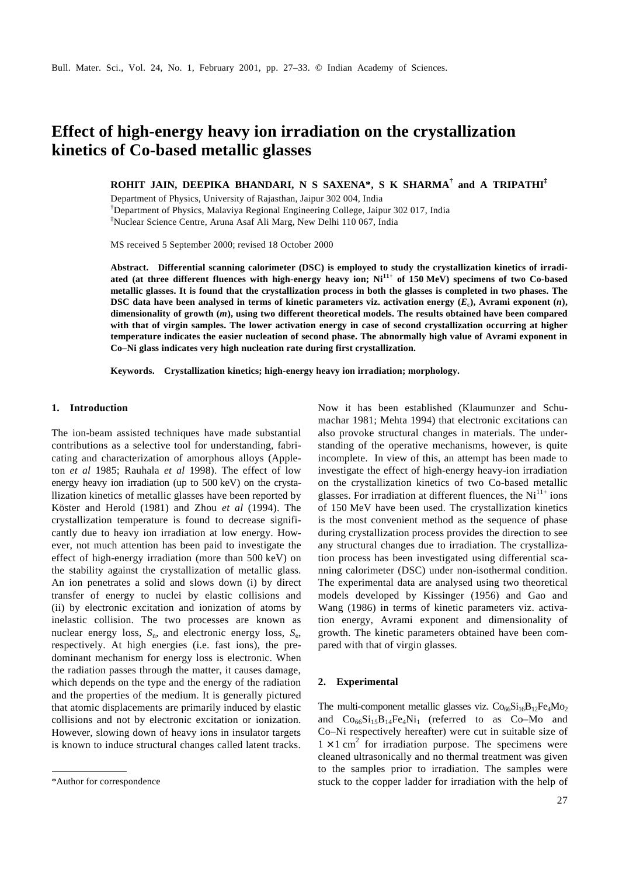# **Effect of high-energy heavy ion irradiation on the crystallization kinetics of Co-based metallic glasses**

**ROHIT JAIN, DEEPIKA BHANDARI, N S SAXENA\*, S K SHARMA† and A TRIPATHI‡**

Department of Physics, University of Rajasthan, Jaipur 302 004, India †Department of Physics, Malaviya Regional Engineering College, Jaipur 302 017, India ‡Nuclear Science Centre, Aruna Asaf Ali Marg, New Delhi 110 067, India

MS received 5 September 2000; revised 18 October 2000

**Abstract. Differential scanning calorimeter (DSC) is employed to study the crystallization kinetics of irradiated (at three different fluences with high-energy heavy ion; Ni11+ of 150 MeV) specimens of two Co-based metallic glasses. It is found that the crystallization process in both the glasses is completed in two phases. The DSC data have been analysed in terms of kinetic parameters viz. activation energy (***E***<sup>c</sup> ), Avrami exponent (***n***), dimensionality of growth (***m***), using two different theoretical models. The results obtained have been compared with that of virgin samples. The lower activation energy in case of second crystallization occurring at higher temperature indicates the easier nucleation of second phase. The abnormally high value of Avrami exponent in Co–Ni glass indicates very high nucleation rate during first crystallization.**

**Keywords. Crystallization kinetics; high-energy heavy ion irradiation; morphology.**

### **1. Introduction**

The ion-beam assisted techniques have made substantial contributions as a selective tool for understanding, fabricating and characterization of amorphous alloys (Appleton *et al* 1985; Rauhala *et al* 1998). The effect of low energy heavy ion irradiation (up to 500 keV) on the crystallization kinetics of metallic glasses have been reported by Köster and Herold (1981) and Zhou *et al* (1994). The crystallization temperature is found to decrease significantly due to heavy ion irradiation at low energy. However, not much attention has been paid to investigate the effect of high-energy irradiation (more than 500 keV) on the stability against the crystallization of metallic glass. An ion penetrates a solid and slows down (i) by direct transfer of energy to nuclei by elastic collisions and (ii) by electronic excitation and ionization of atoms by inelastic collision. The two processes are known as nuclear energy loss,  $S_n$ , and electronic energy loss,  $S_e$ , respectively. At high energies (i.e. fast ions), the predominant mechanism for energy loss is electronic. When the radiation passes through the matter, it causes damage, which depends on the type and the energy of the radiation and the properties of the medium. It is generally pictured that atomic displacements are primarily induced by elastic collisions and not by electronic excitation or ionization. However, slowing down of heavy ions in insulator targets is known to induce structural changes called latent tracks.

Now it has been established (Klaumunzer and Schumachar 1981; Mehta 1994) that electronic excitations can also provoke structural changes in materials. The understanding of the operative mechanisms, however, is quite incomplete. In view of this, an attempt has been made to investigate the effect of high-energy heavy-ion irradiation on the crystallization kinetics of two Co-based metallic glasses. For irradiation at different fluences, the  $Ni<sup>11+</sup>$  ions of 150 MeV have been used. The crystallization kinetics is the most convenient method as the sequence of phase during crystallization process provides the direction to see any structural changes due to irradiation. The crystallization process has been investigated using differential scanning calorimeter (DSC) under non-isothermal condition. The experimental data are analysed using two theoretical models developed by Kissinger (1956) and Gao and Wang (1986) in terms of kinetic parameters viz. activation energy, Avrami exponent and dimensionality of growth. The kinetic parameters obtained have been compared with that of virgin glasses.

#### **2. Experimental**

The multi-component metallic glasses viz.  $Co<sub>66</sub>Si<sub>16</sub>B<sub>12</sub>Fe<sub>4</sub>Mo<sub>2</sub>$ and  $Co_{66}Si_{15}B_{14}Fe_4Ni_1$  (referred to as Co–Mo and Co–Ni respectively hereafter) were cut in suitable size of  $1 \times 1$  cm<sup>2</sup> for irradiation purpose. The specimens were cleaned ultrasonically and no thermal treatment was given to the samples prior to irradiation. The samples were \*Author for correspondence stuck to the copper ladder for irradiation with the help of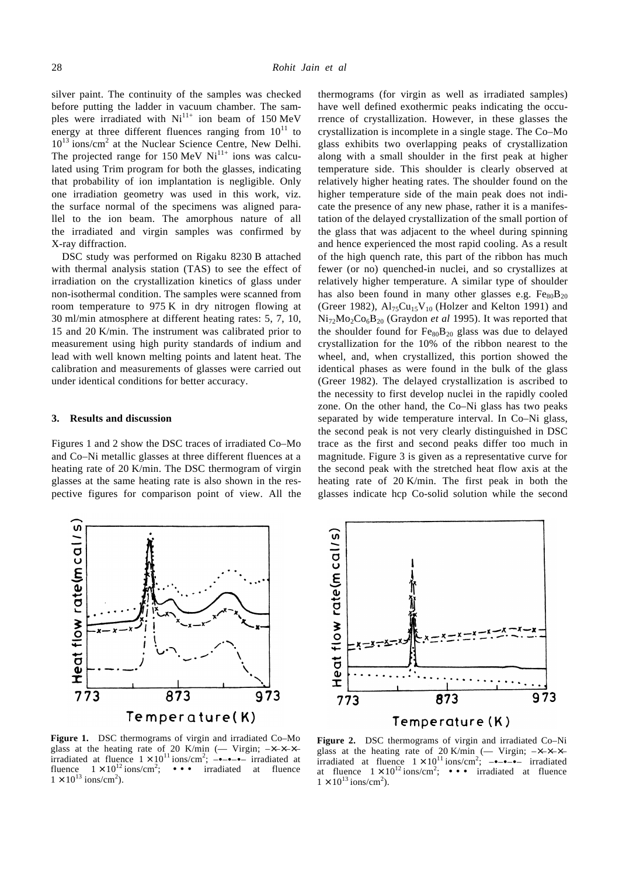silver paint. The continuity of the samples was checked before putting the ladder in vacuum chamber. The samples were irradiated with  $Ni^{11+}$  ion beam of 150 MeV energy at three different fluences ranging from  $10^{11}$  to  $10^{13}$  ions/cm<sup>2</sup> at the Nuclear Science Centre, New Delhi. The projected range for 150 MeV  $Ni<sup>11+</sup>$  ions was calculated using Trim program for both the glasses, indicating that probability of ion implantation is negligible. Only one irradiation geometry was used in this work, viz. the surface normal of the specimens was aligned parallel to the ion beam. The amorphous nature of all the irradiated and virgin samples was confirmed by X-ray diffraction.

DSC study was performed on Rigaku 8230 B attached with thermal analysis station (TAS) to see the effect of irradiation on the crystallization kinetics of glass under non-isothermal condition. The samples were scanned from room temperature to 975 K in dry nitrogen flowing at 30 ml/min atmosphere at different heating rates: 5, 7, 10, 15 and 20 K/min. The instrument was calibrated prior to measurement using high purity standards of indium and lead with well known melting points and latent heat. The calibration and measurements of glasses were carried out under identical conditions for better accuracy.

# **3. Results and discussion**

Figures 1 and 2 show the DSC traces of irradiated Co–Mo and Co–Ni metallic glasses at three different fluences at a heating rate of 20 K/min. The DSC thermogram of virgin glasses at the same heating rate is also shown in the respective figures for comparison point of view. All the



**Figure 1.** DSC thermograms of virgin and irradiated Co–Mo glass at the heating rate of 20 K/min (- Virgin;  $-x-x-x$ irradiated at fluence  $1 \times 10^{11}$  ions/cm<sup>2</sup>; -•-•-• irradiated at fluence  $1 \times 10^{12}$  ions/cm<sup>2</sup>; ••• irradiated at fluence  $1 \times 10^{13}$  ions/cm<sup>2</sup>).

thermograms (for virgin as well as irradiated samples) have well defined exothermic peaks indicating the occurrence of crystallization. However, in these glasses the crystallization is incomplete in a single stage. The Co–Mo glass exhibits two overlapping peaks of crystallization along with a small shoulder in the first peak at higher temperature side. This shoulder is clearly observed at relatively higher heating rates. The shoulder found on the higher temperature side of the main peak does not indicate the presence of any new phase, rather it is a manifestation of the delayed crystallization of the small portion of the glass that was adjacent to the wheel during spinning and hence experienced the most rapid cooling. As a result of the high quench rate, this part of the ribbon has much fewer (or no) quenched-in nuclei, and so crystallizes at relatively higher temperature. A similar type of shoulder has also been found in many other glasses e.g.  $Fe_{80}B_{20}$ (Greer 1982),  $Al_{75}Cu_{15}V_{10}$  (Holzer and Kelton 1991) and Ni72Mo2Co6B20 (Graydon *et al* 1995). It was reported that the shoulder found for  $Fe_{80}B_{20}$  glass was due to delayed crystallization for the 10% of the ribbon nearest to the wheel, and, when crystallized, this portion showed the identical phases as were found in the bulk of the glass (Greer 1982). The delayed crystallization is ascribed to the necessity to first develop nuclei in the rapidly cooled zone. On the other hand, the Co–Ni glass has two peaks separated by wide temperature interval. In Co–Ni glass, the second peak is not very clearly distinguished in DSC trace as the first and second peaks differ too much in magnitude. Figure 3 is given as a representative curve for the second peak with the stretched heat flow axis at the heating rate of 20 K/min. The first peak in both the glasses indicate hcp Co-solid solution while the second



**Figure 2.** DSC thermograms of virgin and irradiated Co–Ni glass at the heating rate of 20 K/min (- Virgin; - $\times$ - $\times$ - $\times$ irradiated at fluence  $1 \times 10^{11}$  ions/cm<sup>2</sup>; - $\rightarrow -\rightarrow -\rightarrow$  irradiated at fluence  $1 \times 10^{12}$  ions/cm<sup>2</sup>; ••• irradiated at fluence  $1 \times 10^{13}$  ions/cm<sup>2</sup>).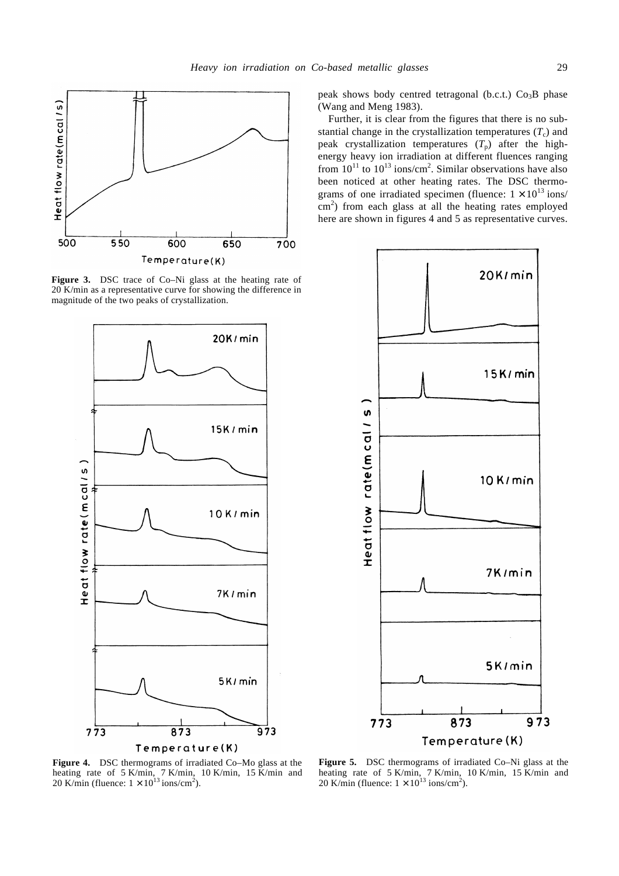

**Figure 3.** DSC trace of Co–Ni glass at the heating rate of 20 K/min as a representative curve for showing the difference in magnitude of the two peaks of crystallization.



Temperature(K)

peak shows body centred tetragonal (b.c.t.)  $Co<sub>3</sub>B$  phase (Wang and Meng 1983).

Further, it is clear from the figures that there is no substantial change in the crystallization temperatures  $(T_c)$  and peak crystallization temperatures  $(T_p)$  after the highenergy heavy ion irradiation at different fluences ranging from  $10^{11}$  to  $10^{13}$  ions/cm<sup>2</sup>. Similar observations have also been noticed at other heating rates. The DSC thermograms of one irradiated specimen (fluence:  $1 \times 10^{13}$  ions/  $\text{cm}^2$ ) from each glass at all the heating rates employed here are shown in figures 4 and 5 as representative curves.



**Figure 4.** DSC thermograms of irradiated Co–Mo glass at the heating rate of 5 K/min, 7 K/min, 10 K/min, 15 K/min and 20 K/min (fluence:  $1 \times 10^{13}$  ions/cm<sup>2</sup>).

**Figure 5.** DSC thermograms of irradiated Co–Ni glass at the heating rate of 5 K/min, 7 K/min, 10 K/min, 15 K/min and 20 K/min (fluence:  $1 \times 10^{13}$  ions/cm<sup>2</sup>).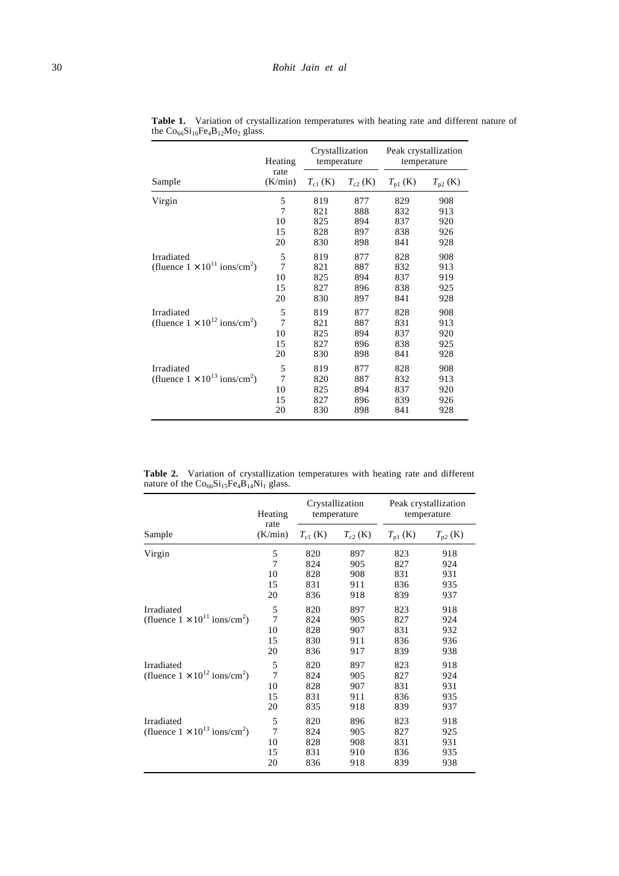|                                                    | Heating<br>rate<br>(K/min) | Crystallization<br>temperature |              | Peak crystallization<br>temperature |              |
|----------------------------------------------------|----------------------------|--------------------------------|--------------|-------------------------------------|--------------|
| Sample                                             |                            | $T_{c1}$ (K)                   | $T_{c2}$ (K) | $T_{\text{p1}}$ (K)                 | $T_{p2}$ (K) |
| Virgin                                             | 5                          | 819                            | 877          | 829                                 | 908          |
|                                                    | 7                          | 821                            | 888          | 832                                 | 913          |
|                                                    | 10                         | 825                            | 894          | 837                                 | 920          |
|                                                    | 15                         | 828                            | 897          | 838                                 | 926          |
|                                                    | 20                         | 830                            | 898          | 841                                 | 928          |
| Irradiated                                         | 5                          | 819                            | 877          | 828                                 | 908          |
| (fluence $1 \times 10^{11}$ ions/cm <sup>2</sup> ) | $\overline{7}$             | 821                            | 887          | 832                                 | 913          |
|                                                    | 10                         | 825                            | 894          | 837                                 | 919          |
|                                                    | 15                         | 827                            | 896          | 838                                 | 925          |
|                                                    | 20                         | 830                            | 897          | 841                                 | 928          |
| Irradiated                                         | 5                          | 819                            | 877          | 828                                 | 908          |
| (fluence $1 \times 10^{12}$ ions/cm <sup>2</sup> ) | 7                          | 821                            | 887          | 831                                 | 913          |
|                                                    | 10                         | 825                            | 894          | 837                                 | 920          |
|                                                    | 15                         | 827                            | 896          | 838                                 | 925          |
|                                                    | 20                         | 830                            | 898          | 841                                 | 928          |
| Irradiated                                         | 5                          | 819                            | 877          | 828                                 | 908          |
| (fluence $1 \times 10^{13}$ ions/cm <sup>2</sup> ) | $\overline{7}$             | 820                            | 887          | 832                                 | 913          |
|                                                    | 10                         | 825                            | 894          | 837                                 | 920          |
|                                                    | 15                         | 827                            | 896          | 839                                 | 926          |
|                                                    | 20                         | 830                            | 898          | 841                                 | 928          |

Table 1. Variation of crystallization temperatures with heating rate and different nature of the  $Co<sub>66</sub>Si<sub>16</sub>Fe<sub>4</sub>B<sub>12</sub>Mo<sub>2</sub> glass.$ 

**Table 2.** Variation of crystallization temperatures with heating rate and different nature of the  $Co_{66}Si_{15}Fe_4B_{14}Ni_1$  glass.

|                                                                  | Heating<br>rate<br>(K/min)            | Crystallization<br>temperature  |                                 | Peak crystallization<br>temperature |                                 |
|------------------------------------------------------------------|---------------------------------------|---------------------------------|---------------------------------|-------------------------------------|---------------------------------|
| Sample                                                           |                                       | $T_{c1}$ (K)                    | $T_{c2}$ (K)                    | $T_{\text{p1}}$ (K)                 | $T_{p2}$ (K)                    |
| Virgin                                                           | 5<br>$\overline{7}$<br>10<br>15<br>20 | 820<br>824<br>828<br>831<br>836 | 897<br>905<br>908<br>911<br>918 | 823<br>827<br>831<br>836<br>839     | 918<br>924<br>931<br>935<br>937 |
| Irradiated<br>(fluence $1 \times 10^{11}$ ions/cm <sup>2</sup> ) | 5<br>7<br>10<br>15<br>20              | 820<br>824<br>828<br>830<br>836 | 897<br>905<br>907<br>911<br>917 | 823<br>827<br>831<br>836<br>839     | 918<br>924<br>932<br>936<br>938 |
| Irradiated<br>(fluence $1 \times 10^{12}$ ions/cm <sup>2</sup> ) | 5<br>$\overline{7}$<br>10<br>15<br>20 | 820<br>824<br>828<br>831<br>835 | 897<br>905<br>907<br>911<br>918 | 823<br>827<br>831<br>836<br>839     | 918<br>924<br>931<br>935<br>937 |
| Irradiated<br>(fluence $1 \times 10^{13}$ ions/cm <sup>2</sup> ) | 5<br>$\overline{7}$<br>10<br>15<br>20 | 820<br>824<br>828<br>831<br>836 | 896<br>905<br>908<br>910<br>918 | 823<br>827<br>831<br>836<br>839     | 918<br>925<br>931<br>935<br>938 |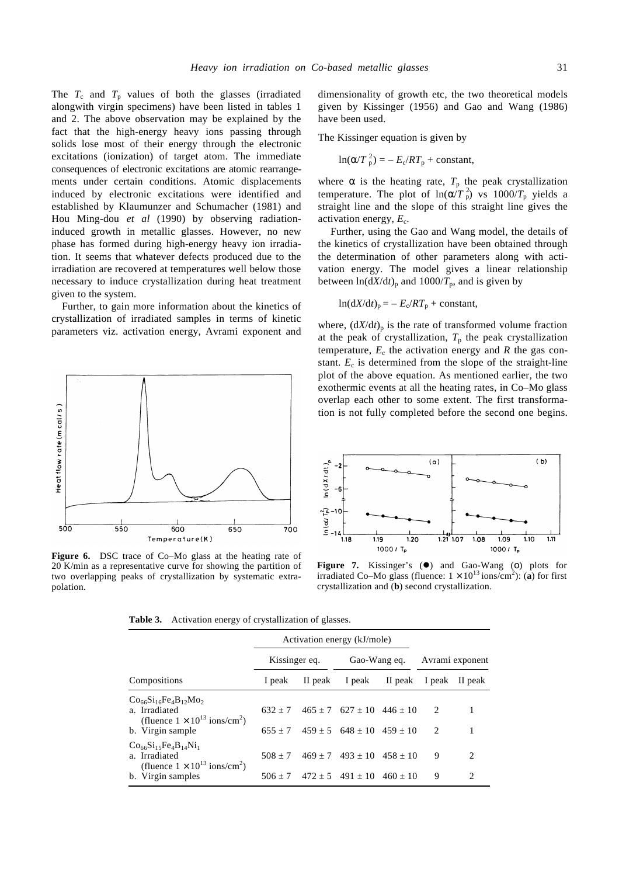The  $T_c$  and  $T_p$  values of both the glasses (irradiated alongwith virgin specimens) have been listed in tables 1 and 2. The above observation may be explained by the fact that the high-energy heavy ions passing through solids lose most of their energy through the electronic excitations (ionization) of target atom. The immediate consequences of electronic excitations are atomic rearrangements under certain conditions. Atomic displacements induced by electronic excitations were identified and established by Klaumunzer and Schumacher (1981) and Hou Ming-dou *et al* (1990) by observing radiationinduced growth in metallic glasses. However, no new phase has formed during high-energy heavy ion irradiation. It seems that whatever defects produced due to the irradiation are recovered at temperatures well below those necessary to induce crystallization during heat treatment given to the system.

Further, to gain more information about the kinetics of crystallization of irradiated samples in terms of kinetic parameters viz. activation energy, Avrami exponent and



**Figure 6.** DSC trace of Co–Mo glass at the heating rate of 20 K/min as a representative curve for showing the partition of two overlapping peaks of crystallization by systematic extrapolation.

dimensionality of growth etc, the two theoretical models given by Kissinger (1956) and Gao and Wang (1986) have been used.

The Kissinger equation is given by

$$
\ln(a/T_{\rm p}^2) = -E_{\rm c}/RT_{\rm p} +
$$
constant,

where  $\boldsymbol{a}$  is the heating rate,  $T_p$  the peak crystallization temperature. The plot of  $ln(a/T_p^2)$  vs  $1000/T_p$  yields a straight line and the slope of this straight line gives the activation energy,  $E_c$ .

Further, using the Gao and Wang model, the details of the kinetics of crystallization have been obtained through the determination of other parameters along with activation energy. The model gives a linear relationship between  $ln(dX/dt)$ <sub>p</sub> and  $1000/T$ <sub>p</sub>, and is given by

$$
\ln(\mathrm{d}X/\mathrm{d}t)_p = -E_c/RT_p + \text{constant},
$$

where,  $\left(\frac{dX}{dt}\right)_p$  is the rate of transformed volume fraction at the peak of crystallization,  $T_p$  the peak crystallization temperature,  $E_c$  the activation energy and  $R$  the gas constant.  $E_c$  is determined from the slope of the straight-line plot of the above equation. As mentioned earlier, the two exothermic events at all the heating rates, in Co–Mo glass overlap each other to some extent. The first transformation is not fully completed before the second one begins.



**Figure 7.** Kissinger's (●) and Gao-Wang (o) plots for irradiated Co–Mo glass (fluence:  $1 \times 10^{13}$  ions/cm<sup>2</sup>): (a) for first crystallization and (**b**) second crystallization.

**Table 3.** Activation energy of crystallization of glasses.

|                                                                                                                               | Activation energy (kJ/mole) |         |                                                                    |            |                    |                               |
|-------------------------------------------------------------------------------------------------------------------------------|-----------------------------|---------|--------------------------------------------------------------------|------------|--------------------|-------------------------------|
|                                                                                                                               | Kissinger eq.               |         | Gao-Wang eq.                                                       |            | Avrami exponent    |                               |
| Compositions                                                                                                                  | 1 peak                      | II peak | I peak                                                             | II peak    |                    | I peak II peak                |
| $Co_{66}Si_{16}Fe_{4}B_{12}Mo_{2}$<br>a. Irradiated<br>(fluence $1 \times 10^{13}$ ions/cm <sup>2</sup> )<br>b. Virgin sample | $632 + 7$<br>$655 + 7$      |         | $465 + 7$ $627 + 10$ $446 + 10$<br>$459 + 5$ $648 + 10$ $459 + 10$ |            | 2<br>$\mathcal{L}$ |                               |
| $Co_{66}Si_{15}Fe_{4}B_{14}Ni_{1}$<br>a. Irradiated<br>(fluence $1 \times 10^{13}$ ions/cm <sup>2</sup> )                     | $508 + 7$                   |         | $469 + 7$ $493 + 10$ $458 + 10$                                    |            | 9                  | $\mathfrak{D}_{\mathfrak{p}}$ |
| b. Virgin samples                                                                                                             | $506 + 7$                   |         | $472 + 5$ $491 + 10$                                               | $460 + 10$ | 9                  | $\mathcal{D}_{\mathcal{A}}$   |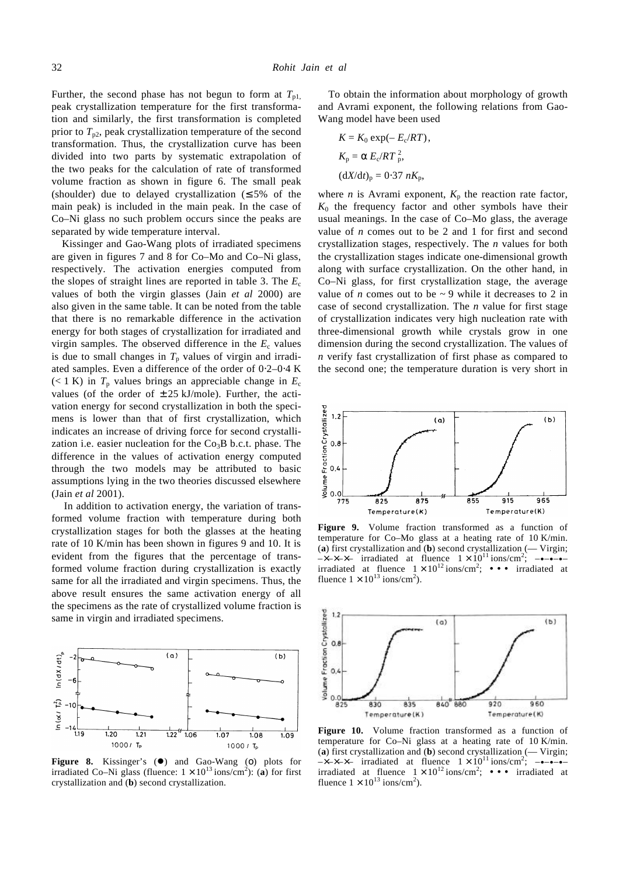Further, the second phase has not begun to form at  $T_{p1}$ , peak crystallization temperature for the first transformation and similarly, the first transformation is completed prior to  $T_{p2}$ , peak crystallization temperature of the second transformation. Thus, the crystallization curve has been divided into two parts by systematic extrapolation of the two peaks for the calculation of rate of transformed volume fraction as shown in figure 6. The small peak (shoulder) due to delayed crystallization ( $\leq 5\%$  of the main peak) is included in the main peak. In the case of Co–Ni glass no such problem occurs since the peaks are separated by wide temperature interval.

Kissinger and Gao-Wang plots of irradiated specimens are given in figures 7 and 8 for Co–Mo and Co–Ni glass, respectively. The activation energies computed from the slopes of straight lines are reported in table 3. The  $E_c$ values of both the virgin glasses (Jain *et al* 2000) are also given in the same table. It can be noted from the table that there is no remarkable difference in the activation energy for both stages of crystallization for irradiated and virgin samples. The observed difference in the  $E_c$  values is due to small changes in  $T_p$  values of virgin and irradiated samples. Even a difference of the order of 0⋅2–0⋅4 K  $(< 1 \text{ K})$  in  $T_p$  values brings an appreciable change in  $E_c$ values (of the order of  $\pm 25$  kJ/mole). Further, the activation energy for second crystallization in both the specimens is lower than that of first crystallization, which indicates an increase of driving force for second crystallization i.e. easier nucleation for the  $Co<sub>3</sub>B$  b.c.t. phase. The difference in the values of activation energy computed through the two models may be attributed to basic assumptions lying in the two theories discussed elsewhere (Jain *et al* 2001).

In addition to activation energy, the variation of transformed volume fraction with temperature during both crystallization stages for both the glasses at the heating rate of 10 K/min has been shown in figures 9 and 10. It is evident from the figures that the percentage of transformed volume fraction during crystallization is exactly same for all the irradiated and virgin specimens. Thus, the above result ensures the same activation energy of all the specimens as the rate of crystallized volume fraction is same in virgin and irradiated specimens.



**Figure 8.** Kissinger's ( $\bullet$ ) and Gao-Wang (o) plots for irradiated Co–Ni glass (fluence:  $1 \times 10^{13}$  ions/cm<sup>2</sup>): (a) for first crystallization and (**b**) second crystallization.

To obtain the information about morphology of growth and Avrami exponent, the following relations from Gao-Wang model have been used

$$
K = K_0 \exp(-E_c/RT),
$$
  
\n
$$
K_p = a E_c/RT_p^2,
$$
  
\n
$$
(dX/dt)_p = 0.37 nK_p,
$$

where *n* is Avrami exponent,  $K_p$  the reaction rate factor,  $K_0$  the frequency factor and other symbols have their usual meanings. In the case of Co–Mo glass, the average value of *n* comes out to be 2 and 1 for first and second crystallization stages, respectively. The *n* values for both the crystallization stages indicate one-dimensional growth along with surface crystallization. On the other hand, in Co–Ni glass, for first crystallization stage, the average value of *n* comes out to be  $\sim$  9 while it decreases to 2 in case of second crystallization. The *n* value for first stage of crystallization indicates very high nucleation rate with three-dimensional growth while crystals grow in one dimension during the second crystallization. The values of *n* verify fast crystallization of first phase as compared to the second one; the temperature duration is very short in



**Figure 9.** Volume fraction transformed as a function of temperature for Co–Mo glass at a heating rate of 10 K/min. (**a**) first crystallization and (**b**) second crystallization (— Virgin;  $-x-x-x-$  irradiated at fluence  $1 \times 10^{11}$  ions/cm<sup>2</sup>; ----irradiated at fluence  $1 \times 10^{12}$  ions/cm<sup>2</sup>; ••• irradiated at fluence  $1 \times 10^{13}$  ions/cm<sup>2</sup>).



**Figure 10.** Volume fraction transformed as a function of temperature for Co–Ni glass at a heating rate of 10 K/min. (**a**) first crystallization and (**b**) second crystallization (— Virgin;  $-x-x-x-$  irradiated at fluence  $1 \times 10^{11}$  ions/cm<sup>2</sup>; ----irradiated at fluence  $1 \times 10^{12}$  ions/cm<sup>2</sup>; ••• irradiated at fluence  $1 \times 10^{13}$  ions/cm<sup>2</sup>).